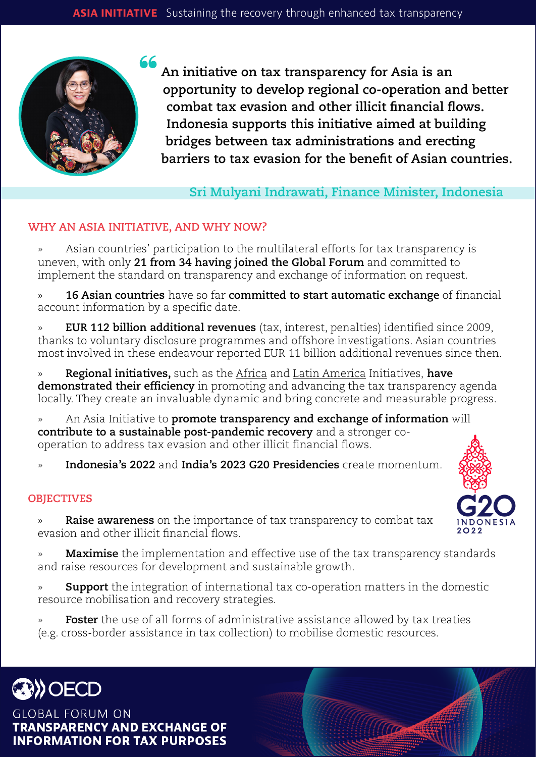

**An initiative on tax transparency for Asia is an opportunity to develop regional co-operation and better combat tax evasion and other illicit financial flows. Indonesia supports this initiative aimed at building bridges between tax administrations and erecting barriers to tax evasion for the benefit of Asian countries.**

**Sri Mulyani Indrawati, Finance Minister, Indonesia**

# **WHY AN ASIA INITIATIVE, AND WHY NOW?**

» Asian countries' participation to the multilateral efforts for tax transparency is uneven, with only **21 from 34 having joined the Global Forum** and committed to implement the standard on transparency and exchange of information on request.

» **16 Asian countries** have so far **committed to start automatic exchange** of financial account information by a specific date.

» **EUR 112 billion additional revenues** (tax, interest, penalties) identified since 2009, thanks to voluntary disclosure programmes and offshore investigations. Asian countries most involved in these endeavour reported EUR 11 billion additional revenues since then.

» **Regional initiatives,** such as the [Africa](http://www.oecd.org/tax/transparency/what-we-do/technical-assistance/africa-initiative.htm) and [Latin America](https://www.oecd.org/tax/transparency/what-we-do/technical-assistance/punta-del-este-declaration.htm) Initiatives, **have demonstrated their efficiency** in promoting and advancing the tax transparency agenda locally. They create an invaluable dynamic and bring concrete and measurable progress.

» An Asia Initiative to **promote transparency and exchange of information** will **contribute to a sustainable post-pandemic recovery** and a stronger cooperation to address tax evasion and other illicit financial flows.

» **Indonesia's 2022** and **India's 2023 G20 Presidencies** create momentum.

## **OBJECTIVES**

» **Raise awareness** on the importance of tax transparency to combat tax evasion and other illicit financial flows.

» **Maximise** the implementation and effective use of the tax transparency standards and raise resources for development and sustainable growth.

» **Support** the integration of international tax co-operation matters in the domestic resource mobilisation and recovery strategies.

**Foster** the use of all forms of administrative assistance allowed by tax treaties (e.g. cross-border assistance in tax collection) to mobilise domestic resources.



**GLOBAL FORUM ON TRANSPARENCY AND EXCHANGE OF INFORMATION FOR TAX PURPOSES**